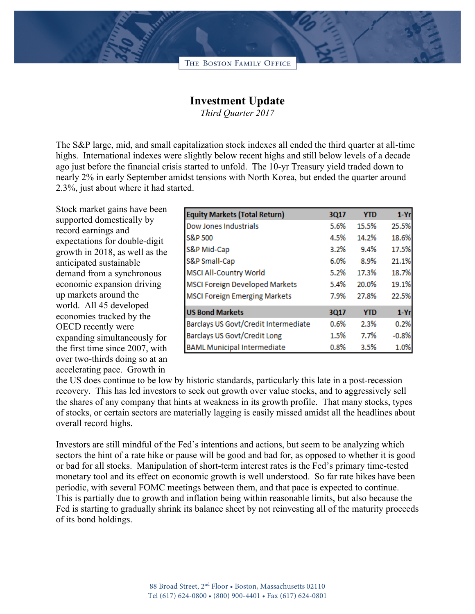

## **Investment Update**

*Third Quarter 2017*

The S&P large, mid, and small capitalization stock indexes all ended the third quarter at all-time highs. International indexes were slightly below recent highs and still below levels of a decade ago just before the financial crisis started to unfold. The 10-yr Treasury yield traded down to nearly 2% in early September amidst tensions with North Korea, but ended the quarter around 2.3%, just about where it had started.

Stock market gains have been supported domestically by record earnings and expectations for double-digit growth in 2018, as well as the anticipated sustainable demand from a synchronous economic expansion driving up markets around the world. All 45 developed economies tracked by the OECD recently were expanding simultaneously for the first time since 2007, with over two-thirds doing so at an accelerating pace. Growth in

| <b>Equity Markets (Total Return)</b>  | 3Q17 | <b>YTD</b> | $1-Yr$   |
|---------------------------------------|------|------------|----------|
| <b>Dow Jones Industrials</b>          | 5.6% | 15.5%      | 25.5%    |
| S&P 500                               | 4.5% | 14.2%      | 18.6%    |
| S&P Mid-Cap                           | 3.2% | 9.4%       | 17.5%    |
| S&P Small-Cap                         | 6.0% | 8.9%       | 21.1%    |
| <b>MSCI All-Country World</b>         | 5.2% | 17.3%      | 18.7%    |
| <b>MSCI Foreign Developed Markets</b> | 5.4% | 20.0%      | 19.1%    |
| <b>MSCI Foreign Emerging Markets</b>  | 7.9% | 27.8%      | 22.5%    |
| <b>US Bond Markets</b>                | 3Q17 | <b>YTD</b> | $1 - Yr$ |
| Barclays US Govt/Credit Intermediate  | 0.6% | 2.3%       | 0.2%     |
| Barclays US Govt/Credit Long          | 1.5% | 7.7%       | $-0.8%$  |
| <b>BAML Municipal Intermediate</b>    | 0.8% | 3.5%       | 1.0%     |

the US does continue to be low by historic standards, particularly this late in a post-recession recovery. This has led investors to seek out growth over value stocks, and to aggressively sell the shares of any company that hints at weakness in its growth profile. That many stocks, types of stocks, or certain sectors are materially lagging is easily missed amidst all the headlines about overall record highs.

Investors are still mindful of the Fed's intentions and actions, but seem to be analyzing which sectors the hint of a rate hike or pause will be good and bad for, as opposed to whether it is good or bad for all stocks. Manipulation of short-term interest rates is the Fed's primary time-tested monetary tool and its effect on economic growth is well understood. So far rate hikes have been periodic, with several FOMC meetings between them, and that pace is expected to continue. This is partially due to growth and inflation being within reasonable limits, but also because the Fed is starting to gradually shrink its balance sheet by not reinvesting all of the maturity proceeds of its bond holdings.